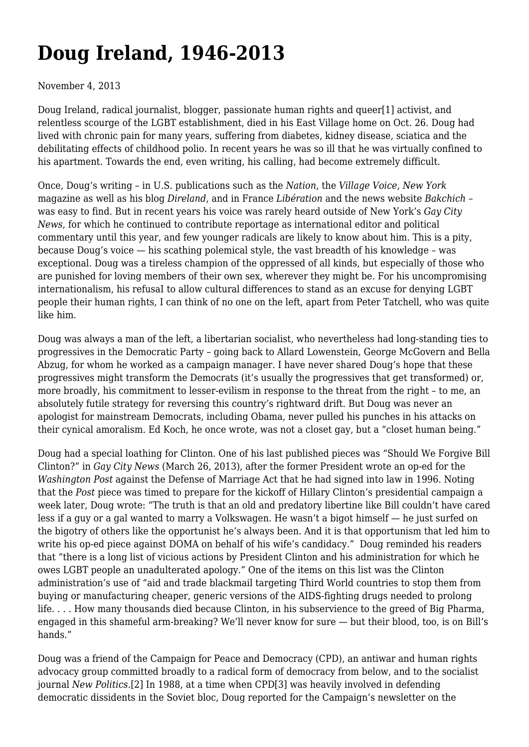## **[Doug Ireland, 1946-2013](https://newpol.org/doug-ireland-1946-2013/)**

## November 4, 2013

<span id="page-0-0"></span>Doug Ireland, radical journalist, blogger, passionate human rights and queer[\[1\]](#page-2-0) activist, and relentless scourge of the LGBT establishment, died in his East Village home on Oct. 26. Doug had lived with chronic pain for many years, suffering from diabetes, kidney disease, sciatica and the debilitating effects of childhood polio. In recent years he was so ill that he was virtually confined to his apartment. Towards the end, even writing, his calling, had become extremely difficult.

Once, Doug's writing – in U.S. publications such as the *Nation*, the *Village Voice*, *New York* magazine as well as his blog *[Direland](http://direland.typepad.com/)*, and in France *Libération* and the news website *Bakchich* – was easy to find. But in recent years his voice was rarely heard outside of New York's *Gay City News*, for which he continued to contribute reportage as international editor and political commentary until this year, and few younger radicals are likely to know about him. This is a pity, because Doug's voice — his scathing polemical style, the vast breadth of his knowledge – was exceptional. Doug was a tireless champion of the oppressed of all kinds, but especially of those who are punished for loving members of their own sex, wherever they might be. For his uncompromising internationalism, his refusaI to allow cultural differences to stand as an excuse for denying LGBT people their human rights, I can think of no one on the left, apart from Peter Tatchell, who was quite like him.

Doug was always a man of the left, a libertarian socialist, who nevertheless had long-standing ties to progressives in the Democratic Party – going back to Allard Lowenstein, George McGovern and Bella Abzug, for whom he worked as a campaign manager. I have never shared Doug's hope that these progressives might transform the Democrats (it's usually the progressives that get transformed) or, more broadly, his commitment to lesser-evilism in response to the threat from the right – to me, an absolutely futile strategy for reversing this country's rightward drift. But Doug was never an apologist for mainstream Democrats, including Obama, never pulled his punches in his attacks on their cynical amoralism. Ed Koch, he once wrote, was not a closet gay, but a "closet human being."

Doug had a special loathing for Clinton. One of his last published pieces was ["Should We Forgive Bill](http://gaycitynews.com/should-we-forgive-bill-clinton/) [Clinton?](http://gaycitynews.com/should-we-forgive-bill-clinton/)" in *Gay City News* (March 26, 2013), after the former President wrote an op-ed for the *Washington Post* against the Defense of Marriage Act that he had signed into law in 1996. Noting that the *Post* piece was timed to prepare for the kickoff of Hillary Clinton's presidential campaign a week later, Doug wrote: "The truth is that an old and predatory libertine like Bill couldn't have cared less if a guy or a gal wanted to marry a Volkswagen. He wasn't a bigot himself — he just surfed on the bigotry of others like the opportunist he's always been. And it is that opportunism that led him to write his op-ed piece against DOMA on behalf of his wife's candidacy." Doug reminded his readers that "there is a long list of vicious actions by President Clinton and his administration for which he owes LGBT people an unadulterated apology." One of the items on this list was the Clinton administration's use of "aid and trade blackmail targeting Third World countries to stop them from buying or manufacturing cheaper, generic versions of the AIDS-fighting drugs needed to prolong life. . . . How many thousands died because Clinton, in his subservience to the greed of Big Pharma, engaged in this shameful arm-breaking? We'll never know for sure — but their blood, too, is on Bill's hands."

<span id="page-0-1"></span>Doug was a friend of the Campaign for Peace and Democracy [\(CPD](http://www.cpdweb.org/)), an antiwar and human rights advocacy group committed broadly to a radical form of democracy from below, and to the socialist journal *New Politics*[.\[2\]](#page-2-1) In 1988, at a time when CP[D\[3\]](#page-2-2) was heavily involved in defending democratic dissidents in the Soviet bloc, Doug reported for the Campaign's newsletter on the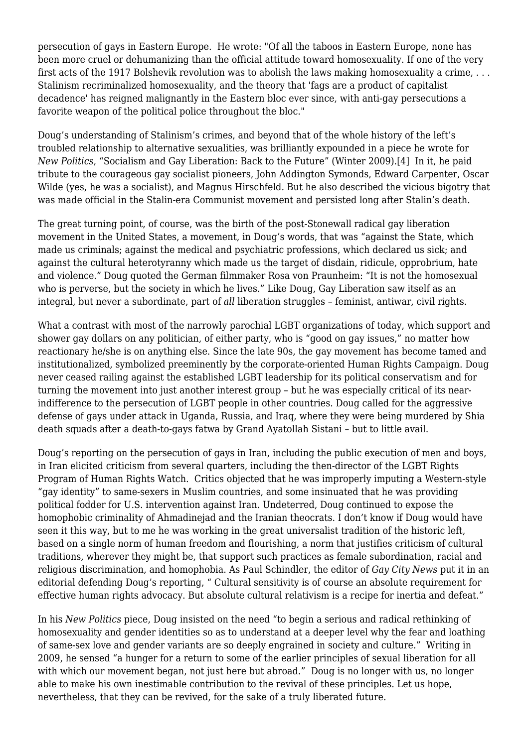persecution of gays in Eastern Europe. He wrote: "Of all the taboos in Eastern Europe, none has been more cruel or dehumanizing than the official attitude toward homosexuality. If one of the very first acts of the 1917 Bolshevik revolution was to abolish the laws making homosexuality a crime, . . . Stalinism recriminalized homosexuality, and the theory that 'fags are a product of capitalist decadence' has reigned malignantly in the Eastern bloc ever since, with anti-gay persecutions a favorite weapon of the political police throughout the bloc."

<span id="page-1-0"></span>Doug's understanding of Stalinism's crimes, and beyond that of the whole history of the left's troubled relationship to alternative sexualities, was brilliantly expounded in a piece he wrote for *New Politics*, "[Socialism and Gay Liberation: Back to the Future](http://newpol.orgsocialism-and-gay-liberation-back-future-0)" (Winter 2009).[\[4\]](#page-2-3) In it, he paid tribute to the courageous gay socialist pioneers, John Addington Symonds, Edward Carpenter, Oscar Wilde (yes, he was a socialist), and Magnus Hirschfeld. But he also described the vicious bigotry that was made official in the Stalin-era Communist movement and persisted long after Stalin's death.

The great turning point, of course, was the birth of the post-Stonewall radical gay liberation movement in the United States, a movement, in Doug's words, that was "against the State, which made us criminals; against the medical and psychiatric professions, which declared us sick; and against the cultural heterotyranny which made us the target of disdain, ridicule, opprobrium, hate and violence." Doug quoted the German filmmaker Rosa von Praunheim: "It is not the homosexual who is perverse, but the society in which he lives." Like Doug, Gay Liberation saw itself as an integral, but never a subordinate, part of *all* liberation struggles – feminist, antiwar, civil rights.

What a contrast with most of the narrowly parochial LGBT organizations of today, which support and shower gay dollars on any politician, of either party, who is "good on gay issues," no matter how reactionary he/she is on anything else. Since the late 90s, the gay movement has become tamed and institutionalized, symbolized preeminently by the corporate-oriented Human Rights Campaign. Doug never ceased railing against the established LGBT leadership for its political conservatism and for turning the movement into just another interest group – but he was especially critical of its nearindifference to the persecution of LGBT people in other countries. Doug called for the aggressive defense of gays under attack in Uganda, Russia, and Iraq, where they were being murdered by Shia death squads after a death-to-gays fatwa by Grand Ayatollah Sistani – but to little avail.

Doug's reporting on the persecution of gays in Iran, including the public execution of men and boys, in Iran elicited criticism from several quarters, including the then-director of the LGBT Rights Program of Human Rights Watch. Critics objected that he was improperly imputing a Western-style "gay identity" to same-sexers in Muslim countries, and some insinuated that he was providing political fodder for U.S. intervention against Iran. Undeterred, Doug continued to expose the homophobic criminality of Ahmadinejad and the Iranian theocrats. I don't know if Doug would have seen it this way, but to me he was working in the great universalist tradition of the historic left, based on a single norm of human freedom and flourishing, a norm that justifies criticism of cultural traditions, wherever they might be, that support such practices as female subordination, racial and religious discrimination, and homophobia. As Paul Schindler, the editor of *Gay City News* put it in an editorial defending Doug's reporting, " Cultural sensitivity is of course an absolute requirement for effective human rights advocacy. But absolute cultural relativism is a recipe for inertia and defeat."

In his *New Politics* piece, Doug insisted on the need "to begin a serious and radical rethinking of homosexuality and gender identities so as to understand at a deeper level why the fear and loathing of same-sex love and gender variants are so deeply engrained in society and culture." Writing in 2009, he sensed "a hunger for a return to some of the earlier principles of sexual liberation for all with which our movement began, not just here but abroad." Doug is no longer with us, no longer able to make his own inestimable contribution to the revival of these principles. Let us hope, nevertheless, that they can be revived, for the sake of a truly liberated future.